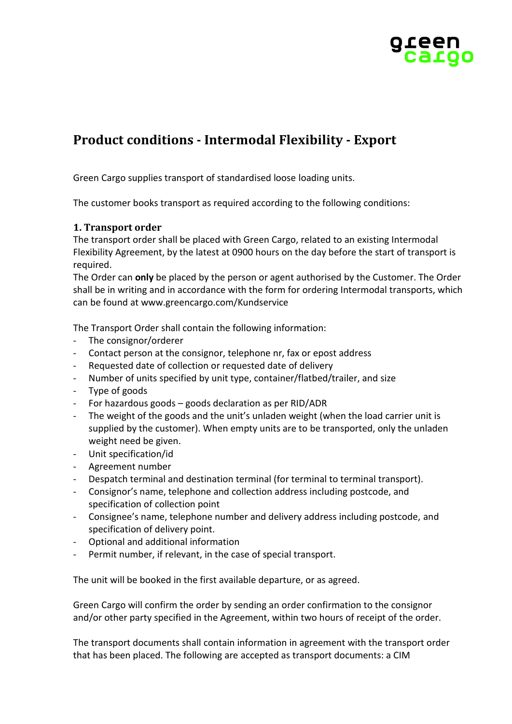

# **Product conditions - Intermodal Flexibility - Export**

Green Cargo supplies transport of standardised loose loading units.

The customer books transport as required according to the following conditions:

# **1. Transport order**

The transport order shall be placed with Green Cargo, related to an existing Intermodal Flexibility Agreement, by the latest at 0900 hours on the day before the start of transport is required.

The Order can **only** be placed by the person or agent authorised by the Customer. The Order shall be in writing and in accordance with the form for ordering Intermodal transports, which can be found at www.greencargo.com/Kundservice

The Transport Order shall contain the following information:

- The consignor/orderer
- Contact person at the consignor, telephone nr, fax or epost address
- Requested date of collection or requested date of delivery
- Number of units specified by unit type, container/flatbed/trailer, and size
- Type of goods
- For hazardous goods goods declaration as per RID/ADR
- The weight of the goods and the unit's unladen weight (when the load carrier unit is supplied by the customer). When empty units are to be transported, only the unladen weight need be given.
- Unit specification/id
- Agreement number
- Despatch terminal and destination terminal (for terminal to terminal transport).
- Consignor's name, telephone and collection address including postcode, and specification of collection point
- Consignee's name, telephone number and delivery address including postcode, and specification of delivery point.
- Optional and additional information
- Permit number, if relevant, in the case of special transport.

The unit will be booked in the first available departure, or as agreed.

Green Cargo will confirm the order by sending an order confirmation to the consignor and/or other party specified in the Agreement, within two hours of receipt of the order.

The transport documents shall contain information in agreement with the transport order that has been placed. The following are accepted as transport documents: a CIM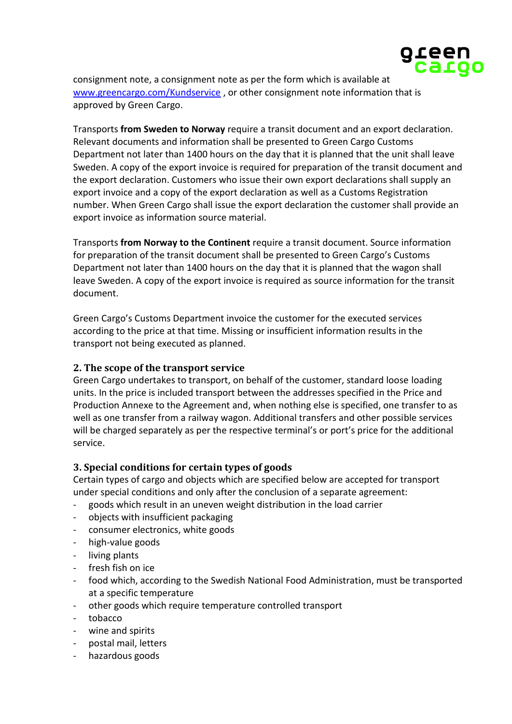

consignment note, a consignment note as per the form which is available at [www.greencargo.com/Kundservice](http://www.greencargo.com/Kundservice) , or other consignment note information that is approved by Green Cargo.

Transports **from Sweden to Norway** require a transit document and an export declaration. Relevant documents and information shall be presented to Green Cargo Customs Department not later than 1400 hours on the day that it is planned that the unit shall leave Sweden. A copy of the export invoice is required for preparation of the transit document and the export declaration. Customers who issue their own export declarations shall supply an export invoice and a copy of the export declaration as well as a Customs Registration number. When Green Cargo shall issue the export declaration the customer shall provide an export invoice as information source material.

Transports **from Norway to the Continent** require a transit document. Source information for preparation of the transit document shall be presented to Green Cargo's Customs Department not later than 1400 hours on the day that it is planned that the wagon shall leave Sweden. A copy of the export invoice is required as source information for the transit document.

Green Cargo's Customs Department invoice the customer for the executed services according to the price at that time. Missing or insufficient information results in the transport not being executed as planned.

# **2. The scope of the transport service**

Green Cargo undertakes to transport, on behalf of the customer, standard loose loading units. In the price is included transport between the addresses specified in the Price and Production Annexe to the Agreement and, when nothing else is specified, one transfer to as well as one transfer from a railway wagon. Additional transfers and other possible services will be charged separately as per the respective terminal's or port's price for the additional service.

# **3. Special conditions for certain types of goods**

Certain types of cargo and objects which are specified below are accepted for transport under special conditions and only after the conclusion of a separate agreement:

- goods which result in an uneven weight distribution in the load carrier
- objects with insufficient packaging
- consumer electronics, white goods
- high-value goods
- living plants
- fresh fish on ice
- food which, according to the Swedish National Food Administration, must be transported at a specific temperature
- other goods which require temperature controlled transport
- tobacco
- wine and spirits
- postal mail, letters
- hazardous goods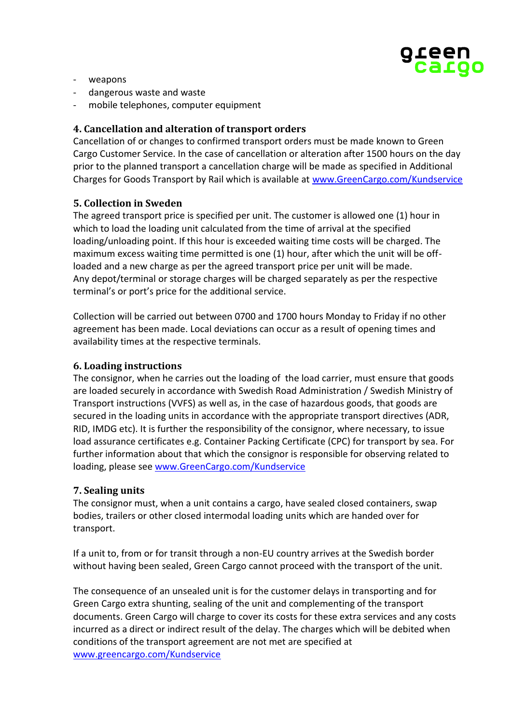

- weapons
- dangerous waste and waste
- mobile telephones, computer equipment

### **4. Cancellation and alteration of transport orders**

Cancellation of or changes to confirmed transport orders must be made known to Green Cargo Customer Service. In the case of cancellation or alteration after 1500 hours on the day prior to the planned transport a cancellation charge will be made as specified in Additional Charges for Goods Transport by Rail which is available at [www.GreenCargo.com/Kundservice](http://www.greencargo.com/Kundservice)

## **5. Collection in Sweden**

The agreed transport price is specified per unit. The customer is allowed one (1) hour in which to load the loading unit calculated from the time of arrival at the specified loading/unloading point. If this hour is exceeded waiting time costs will be charged. The maximum excess waiting time permitted is one (1) hour, after which the unit will be offloaded and a new charge as per the agreed transport price per unit will be made. Any depot/terminal or storage charges will be charged separately as per the respective terminal's or port's price for the additional service.

Collection will be carried out between 0700 and 1700 hours Monday to Friday if no other agreement has been made. Local deviations can occur as a result of opening times and availability times at the respective terminals.

#### **6. Loading instructions**

The consignor, when he carries out the loading of the load carrier, must ensure that goods are loaded securely in accordance with Swedish Road Administration / Swedish Ministry of Transport instructions (VVFS) as well as, in the case of hazardous goods, that goods are secured in the loading units in accordance with the appropriate transport directives (ADR, RID, IMDG etc). It is further the responsibility of the consignor, where necessary, to issue load assurance certificates e.g. Container Packing Certificate (CPC) for transport by sea. For further information about that which the consignor is responsible for observing related to loading, please see [www.GreenCargo.com/Kundservice](http://www.greencargo.com/Kundservice)

#### **7. Sealing units**

The consignor must, when a unit contains a cargo, have sealed closed containers, swap bodies, trailers or other closed intermodal loading units which are handed over for transport.

If a unit to, from or for transit through a non-EU country arrives at the Swedish border without having been sealed, Green Cargo cannot proceed with the transport of the unit.

The consequence of an unsealed unit is for the customer delays in transporting and for Green Cargo extra shunting, sealing of the unit and complementing of the transport documents. Green Cargo will charge to cover its costs for these extra services and any costs incurred as a direct or indirect result of the delay. The charges which will be debited when conditions of the transport agreement are not met are specified at [www.greencargo.com/Kundservice](http://www.greencargo.com/Kundservice)